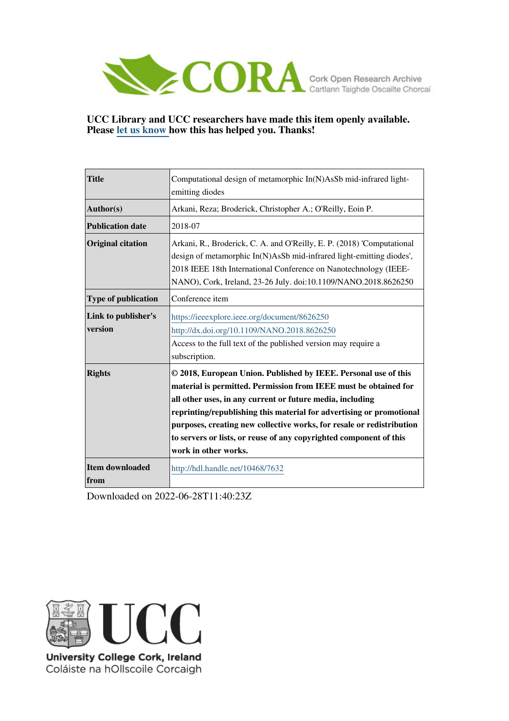

# **UCC Library and UCC researchers have made this item openly available. Please [let us know h](https://libguides.ucc.ie/openaccess/impact?suffix=7632&title=Computational design of metamorphic In(N)AsSb mid-infrared light-emitting diodes)ow this has helped you. Thanks!**

| <b>Title</b>                   | Computational design of metamorphic In(N)AsSb mid-infrared light-                                                                                                                                                                                                                                                                                                                                                                               |
|--------------------------------|-------------------------------------------------------------------------------------------------------------------------------------------------------------------------------------------------------------------------------------------------------------------------------------------------------------------------------------------------------------------------------------------------------------------------------------------------|
|                                | emitting diodes                                                                                                                                                                                                                                                                                                                                                                                                                                 |
| Author(s)                      | Arkani, Reza; Broderick, Christopher A.; O'Reilly, Eoin P.                                                                                                                                                                                                                                                                                                                                                                                      |
| <b>Publication date</b>        | 2018-07                                                                                                                                                                                                                                                                                                                                                                                                                                         |
| <b>Original citation</b>       | Arkani, R., Broderick, C. A. and O'Reilly, E. P. (2018) 'Computational<br>design of metamorphic In(N)AsSb mid-infrared light-emitting diodes',<br>2018 IEEE 18th International Conference on Nanotechnology (IEEE-<br>NANO), Cork, Ireland, 23-26 July. doi:10.1109/NANO.2018.8626250                                                                                                                                                           |
| <b>Type of publication</b>     | Conference item                                                                                                                                                                                                                                                                                                                                                                                                                                 |
| Link to publisher's<br>version | https://ieeexplore.ieee.org/document/8626250<br>http://dx.doi.org/10.1109/NANO.2018.8626250<br>Access to the full text of the published version may require a<br>subscription.                                                                                                                                                                                                                                                                  |
| <b>Rights</b>                  | © 2018, European Union. Published by IEEE. Personal use of this<br>material is permitted. Permission from IEEE must be obtained for<br>all other uses, in any current or future media, including<br>reprinting/republishing this material for advertising or promotional<br>purposes, creating new collective works, for resale or redistribution<br>to servers or lists, or reuse of any copyrighted component of this<br>work in other works. |
| Item downloaded<br>from        | http://hdl.handle.net/10468/7632                                                                                                                                                                                                                                                                                                                                                                                                                |

Downloaded on 2022-06-28T11:40:23Z



University College Cork, Ireland Coláiste na hOllscoile Corcaigh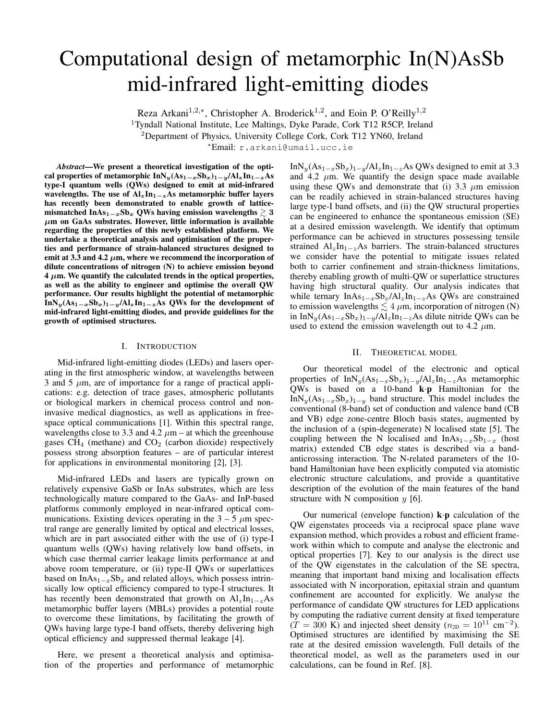# Computational design of metamorphic In(N)AsSb mid-infrared light-emitting diodes

Reza Arkani<sup>1,2,\*</sup>, Christopher A. Broderick<sup>1,2</sup>, and Eoin P. O'Reilly<sup>1,2</sup>

<sup>1</sup>Tyndall National Institute, Lee Maltings, Dyke Parade, Cork T12 R5CP, Ireland

<sup>2</sup>Department of Physics, University College Cork, Cork T12 YN60, Ireland

<sup>∗</sup>Email: r.arkani@umail.ucc.ie

*Abstract*—We present a theoretical investigation of the optical properties of metamorphic InN<sub>y</sub>(As<sub>1−x</sub>Sb<sub>x</sub>)<sub>1−y</sub>/Al<sub>z</sub>In<sub>1−z</sub>As type-I quantum wells (QWs) designed to emit at mid-infrared wavelengths. The use of  $Al_zIn_{1-z}As$  metamorphic buffer layers has recently been demonstrated to enable growth of latticemismatched InAs<sub>1</sub> $-xSb_x$  QWs having emission wavelengths  $\geq 3$  $\mu$ m on GaAs substrates. However, little information is available regarding the properties of this newly established platform. We undertake a theoretical analysis and optimisation of the properties and performance of strain-balanced structures designed to emit at 3.3 and 4.2  $\mu$ m, where we recommend the incorporation of dilute concentrations of nitrogen (N) to achieve emission beyond  $4 \mu m$ . We quantify the calculated trends in the optical properties, as well as the ability to engineer and optimise the overall QW performance. Our results highlight the potential of metamorphic InN<sub>y</sub>(As<sub>1−x</sub>Sb<sub>x</sub>)<sub>1−y</sub>/Al<sub>z</sub>In<sub>1−z</sub>As QWs for the development of mid-infrared light-emitting diodes, and provide guidelines for the growth of optimised structures.

# I. INTRODUCTION

Mid-infrared light-emitting diodes (LEDs) and lasers operating in the first atmospheric window, at wavelengths between 3 and 5  $\mu$ m, are of importance for a range of practical applications: e.g. detection of trace gases, atmospheric pollutants or biological markers in chemical process control and noninvasive medical diagnostics, as well as applications in freespace optical communications [1]. Within this spectral range, wavelengths close to 3.3 and 4.2  $\mu$ m – at which the greenhouse gases  $\overline{\text{CH}}_4$  (methane) and  $\overline{\text{CO}}_2$  (carbon dioxide) respectively possess strong absorption features – are of particular interest for applications in environmental monitoring [2], [3].

Mid-infrared LEDs and lasers are typically grown on relatively expensive GaSb or InAs substrates, which are less technologically mature compared to the GaAs- and InP-based platforms commonly employed in near-infrared optical communications. Existing devices operating in the  $3 - 5 \mu m$  spectral range are generally limited by optical and electrical losses, which are in part associated either with the use of (i) type-I quantum wells (QWs) having relatively low band offsets, in which case thermal carrier leakage limits performance at and above room temperature, or (ii) type-II QWs or superlattices based on InAs<sub>1 $-x$ </sub>Sb<sub>x</sub> and related alloys, which possess intrinsically low optical efficiency compared to type-I structures. It has recently been demonstrated that growth on  $Al_zIn_{1-z}As$ metamorphic buffer layers (MBLs) provides a potential route to overcome these limitations, by facilitating the growth of QWs having large type-I band offsets, thereby delivering high optical efficiency and suppressed thermal leakage [4].

Here, we present a theoretical analysis and optimisation of the properties and performance of metamorphic InN<sub>y</sub>(As<sub>1−x</sub>Sb<sub>x</sub>)<sub>1−y</sub>/Al<sub>z</sub>In<sub>1−z</sub>As QWs designed to emit at 3.3 and 4.2  $\mu$ m. We quantify the design space made available using these QWs and demonstrate that (i) 3.3  $\mu$ m emission can be readily achieved in strain-balanced structures having large type-I band offsets, and (ii) the QW structural properties can be engineered to enhance the spontaneous emission (SE) at a desired emission wavelength. We identify that optimum performance can be achieved in structures possessing tensile strained  $Al_zIn_{1-z}As$  barriers. The strain-balanced structures we consider have the potential to mitigate issues related both to carrier confinement and strain-thickness limitations, thereby enabling growth of multi-QW or superlattice structures having high structural quality. Our analysis indicates that while ternary InAs<sub>1−x</sub>Sb<sub>x</sub>/Al<sub>z</sub>In<sub>1−z</sub>As QWs are constrained to emission wavelengths  $\leq 4 \mu$ m, incorporation of nitrogen (N) in InN<sub>y</sub>(As<sub>1−x</sub>Sb<sub>x</sub>)<sub>1−y</sub>/Al<sub>z</sub>In<sub>1−z</sub>As dilute nitride QWs can be used to extend the emission wavelength out to 4.2  $\mu$ m.

# II. THEORETICAL MODEL

Our theoretical model of the electronic and optical properties of InN<sub>y</sub>(As<sub>1−x</sub>Sb<sub>x</sub>)<sub>1−y</sub>/Al<sub>z</sub>In<sub>1−z</sub>As metamorphic QWs is based on a 10-band k·p Hamiltonian for the InN<sub>y</sub>(As<sub>1−x</sub>Sb<sub>x</sub>)<sub>1−y</sub> band structure. This model includes the conventional (8-band) set of conduction and valence band (CB and VB) edge zone-centre Bloch basis states, augmented by the inclusion of a (spin-degenerate) N localised state [5]. The coupling between the N localised and  $InAs_{1-x}Sb_{1-x}$  (host matrix) extended CB edge states is described via a bandanticrossing interaction. The N-related parameters of the 10 band Hamiltonian have been explicitly computed via atomistic electronic structure calculations, and provide a quantitative description of the evolution of the main features of the band structure with N composition  $y$  [6].

Our numerical (envelope function)  $\mathbf{k} \cdot \mathbf{p}$  calculation of the QW eigenstates proceeds via a reciprocal space plane wave expansion method, which provides a robust and efficient framework within which to compute and analyse the electronic and optical properties [7]. Key to our analysis is the direct use of the QW eigenstates in the calculation of the SE spectra, meaning that important band mixing and localisation effects associated with N incorporation, epitaxial strain and quantum confinement are accounted for explicitly. We analyse the performance of candidate QW structures for LED applications by computing the radiative current density at fixed temperature  $(T = 300 \text{ K})$  and injected sheet density  $(n_{2D} = 10^{11} \text{ cm}^{-2})$ . Optimised structures are identified by maximising the SE rate at the desired emission wavelength. Full details of the theoretical model, as well as the parameters used in our calculations, can be found in Ref. [8].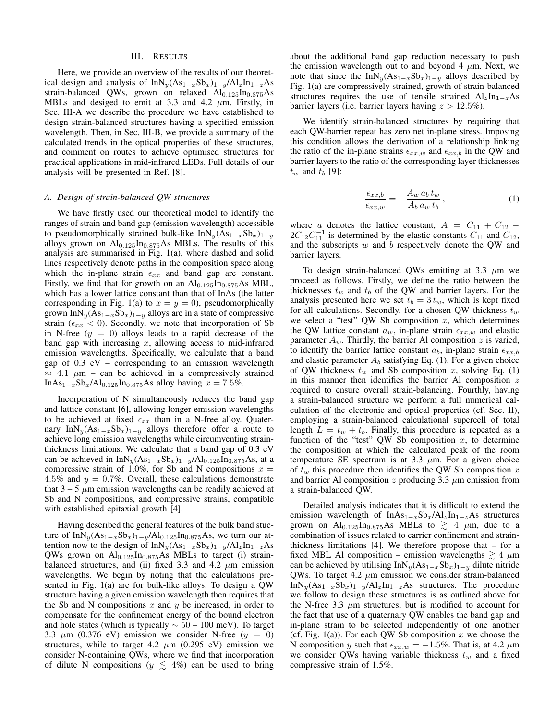#### III. RESULTS

Here, we provide an overview of the results of our theoretical design and analysis of InN<sub>y</sub>(As<sub>1−x</sub>Sb<sub>x</sub>)<sub>1−y</sub>/Al<sub>z</sub>In<sub>1−z</sub>As strain-balanced QWs, grown on relaxed  $Al_{0.125}In_{0.875}As$ MBLs and desiged to emit at 3.3 and 4.2  $\mu$ m. Firstly, in Sec. III-A we describe the procedure we have established to design strain-balanced structures having a specified emission wavelength. Then, in Sec. III-B, we provide a summary of the calculated trends in the optical properties of these structures, and comment on routes to achieve optimised structures for practical applications in mid-infrared LEDs. Full details of our analysis will be presented in Ref. [8].

# *A. Design of strain-balanced QW structures*

We have firstly used our theoretical model to identify the ranges of strain and band gap (emission wavelength) accessible to pseudomorphically strained bulk-like InN<sub>y</sub>(As<sub>1−x</sub>Sb<sub>x</sub>)<sub>1−y</sub> alloys grown on  $Al_{0.125}In_{0.875}As MBLs$ . The results of this analysis are summarised in Fig. 1(a), where dashed and solid lines respectively denote paths in the composition space along which the in-plane strain  $\epsilon_{xx}$  and band gap are constant. Firstly, we find that for growth on an  $Al_{0.125}In_{0.875}As MBL$ , which has a lower lattice constant than that of InAs (the latter corresponding in Fig. 1(a) to  $x = y = 0$ ), pseudomorphically grown InN<sub>y</sub>(As<sub>1−x</sub>Sb<sub>x</sub>)<sub>1−y</sub> alloys are in a state of compressive strain ( $\epsilon_{xx}$  < 0). Secondly, we note that incorporation of Sb in N-free  $(y = 0)$  alloys leads to a rapid decrease of the band gap with increasing  $x$ , allowing access to mid-infrared emission wavelengths. Specifically, we calculate that a band gap of  $0.3$  eV – corresponding to an emission wavelength  $\approx$  4.1  $\mu$ m – can be achieved in a compressively strained InAs<sub>1−x</sub>Sb<sub>x</sub>/Al<sub>0.125</sub>In<sub>0.875</sub>As alloy having  $x = 7.5\%$ .

Incorporation of N simultaneously reduces the band gap and lattice constant [6], allowing longer emission wavelengths to be achieved at fixed  $\epsilon_{xx}$  than in a N-free alloy. Quaternary InN<sub>y</sub>(As<sub>1−x</sub>Sb<sub>x</sub>)<sub>1−y</sub> alloys therefore offer a route to achieve long emission wavelengths while circumventing strainthickness limitations. We calculate that a band gap of 0.3 eV can be achieved in InN<sub>y</sub>(As<sub>1−x</sub>Sb<sub>x</sub>)<sub>1−y</sub>/Al<sub>0.125</sub>In<sub>0.875</sub>As, at a compressive strain of 1.0%, for Sb and N compositions  $x =$ 4.5% and  $y = 0.7$ %. Overall, these calculations demonstrate that  $3 - 5 \mu$ m emission wavelengths can be readily achieved at Sb and N compositions, and compressive strains, compatible with established epitaxial growth [4].

Having described the general features of the bulk band stucture of InN<sub>y</sub>(As<sub>1−x</sub>Sb<sub>x</sub>)<sub>1−y</sub>/Al<sub>0.125</sub>In<sub>0.875</sub>As, we turn our attention now to the design of InN<sub>y</sub>(As<sub>1−x</sub>Sb<sub>x</sub>)<sub>1−y</sub>/Al<sub>z</sub>In<sub>1−z</sub>As QWs grown on  $Al_{0.125}In_{0.875}As$  MBLs to target (i) strainbalanced structures, and (ii) fixed 3.3 and 4.2  $\mu$ m emission wavelengths. We begin by noting that the calculations presented in Fig. 1(a) are for bulk-like alloys. To design a QW structure having a given emission wavelength then requires that the Sb and N compositions  $x$  and  $y$  be increased, in order to compensate for the confinement energy of the bound electron and hole states (which is typically  $\sim$  50 – 100 meV). To target 3.3  $\mu$ m (0.376 eV) emission we consider N-free ( $y = 0$ ) structures, while to target 4.2  $\mu$ m (0.295 eV) emission we consider N-containing QWs, where we find that incorporation of dilute N compositions ( $y \leq 4\%$ ) can be used to bring

about the additional band gap reduction necessary to push the emission wavelength out to and beyond 4  $\mu$ m. Next, we note that since the InN<sub>y</sub>(As<sub>1−x</sub>Sb<sub>x</sub>)<sub>1−y</sub> alloys described by Fig. 1(a) are compressively strained, growth of strain-balanced structures requires the use of tensile strained  $Al_zIn_{1-z}As$ barrier layers (i.e. barrier layers having  $z > 12.5\%$ ).

We identify strain-balanced structures by requiring that each QW-barrier repeat has zero net in-plane stress. Imposing this condition allows the derivation of a relationship linking the ratio of the in-plane strains  $\epsilon_{xx,w}$  and  $\epsilon_{xx,b}$  in the QW and barrier layers to the ratio of the corresponding layer thicknesses  $t_w$  and  $t_b$  [9]:

$$
\frac{\epsilon_{xx,b}}{\epsilon_{xx,w}} = -\frac{A_w a_b t_w}{A_b a_w t_b},\tag{1}
$$

where a denotes the lattice constant,  $A = C_{11} + C_{12}$  –  $2C_{12}C_{11}^{-1}$  is determined by the elastic constants  $\overline{C}_{11}$  and  $\overline{C}_{12}$ , and the subscripts  $w$  and  $b$  respectively denote the QW and barrier layers.

To design strain-balanced QWs emitting at 3.3  $\mu$ m we proceed as follows. Firstly, we define the ratio between the thicknesses  $t_w$  and  $t_b$  of the QW and barrier layers. For the analysis presented here we set  $t_b = 3 t_w$ , which is kept fixed for all calculations. Secondly, for a chosen QW thickness  $t_w$ we select a "test" QW Sb composition  $x$ , which determines the QW lattice constant  $a_w$ , in-plane strain  $\epsilon_{xx,w}$  and elastic parameter  $A_w$ . Thirdly, the barrier Al composition z is varied, to identify the barrier lattice constant  $a_b$ , in-plane strain  $\epsilon_{xx,b}$ and elastic parameter  $A_b$  satisfying Eq. (1). For a given choice of QW thickness  $t_w$  and Sb composition x, solving Eq. (1) in this manner then identifies the barrier Al composition  $z$ required to ensure overall strain-balancing. Fourthly, having a strain-balanced structure we perform a full numerical calculation of the electronic and optical properties (cf. Sec. II), employing a strain-balanced calculational supercell of total length  $L = t_w + t_b$ . Finally, this procedure is repeated as a function of the "test" QW Sb composition  $x$ , to determine the composition at which the calculated peak of the room temperature SE spectrum is at 3.3  $\mu$ m. For a given choice of  $t_w$  this procedure then identifies the QW Sb composition x and barrier Al composition z producing  $3.3 \mu$ m emission from a strain-balanced QW.

Detailed analysis indicates that it is difficult to extend the emission wavelength of InAs<sub>1−x</sub>Sb<sub>x</sub>/Al<sub>z</sub>In<sub>1−z</sub>As structures grown on Al<sub>0.125</sub>In<sub>0.875</sub>As MBLs to  $\gtrsim$  4  $\mu$ m, due to a combination of issues related to carrier confinement and strainthickness limitations [4]. We therefore propose that – for a fixed MBL Al composition – emission wavelengths  $\gtrsim 4 \ \mu m$ can be achieved by utilising InN<sub>y</sub>(As<sub>1−x</sub>Sb<sub>x</sub>)<sub>1−y</sub> dilute nitride QWs. To target 4.2  $\mu$ m emission we consider strain-balanced InN<sub>y</sub>(As<sub>1−x</sub>Sb<sub>x</sub>)<sub>1−y</sub>/Al<sub>z</sub>In<sub>1−z</sub>As structures. The procedure we follow to design these structures is as outlined above for the N-free 3.3  $\mu$ m structures, but is modified to account for the fact that use of a quaternary QW enables the band gap and in-plane strain to be selected independently of one another (cf. Fig. 1(a)). For each QW Sb composition  $x$  we choose the N composition y such that  $\epsilon_{xx,w} = -1.5\%$ . That is, at 4.2 µm we consider QWs having variable thickness  $t_w$  and a fixed compressive strain of 1.5%.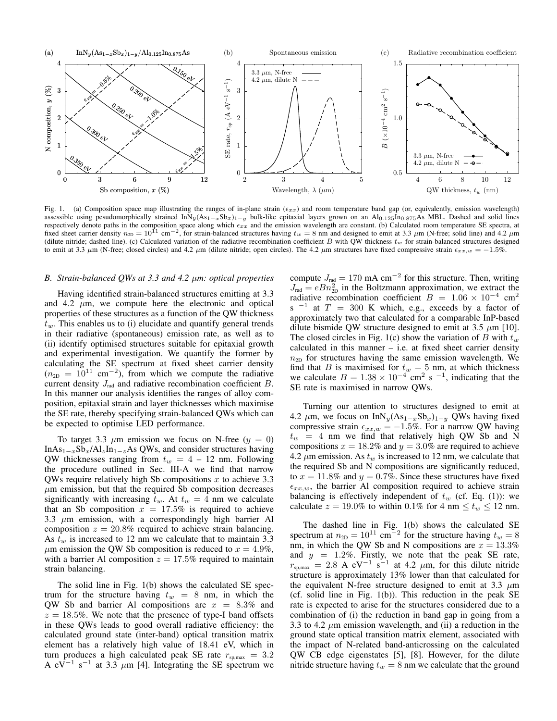

Fig. 1. (a) Composition space map illustrating the ranges of in-plane strain ( $\epsilon_{xx}$ ) and room temperature band gap (or, equivalently, emission wavelength) assessible using pesudomorphically strained InN<sub>y</sub>(As<sub>1</sub>-xSb<sub>x</sub>)<sub>1</sub>−y bulk-like epitaxial layers grown on an Al<sub>0.125</sub>In<sub>0.875</sub>As MBL. Dashed and solid lines respectively denote paths in the composition space along which  $\epsilon_{xx}$  and the emission wavelength are constant. (b) Calculated room temperature SE spectra, at fixed sheet carrier density  $n_{2D} = 10^{11}$  cm<sup>-2</sup>, for strain-balanced structures having  $t_w = 8$  nm and designed to emit at 3.3  $\mu$ m (N-free; solid line) and 4.2  $\mu$ m (dilute nitride; dashed line). (c) Calculated variation of the radiative recombination coefficient B with QW thickness  $t_w$  for strain-balanced structures designed to emit at 3.3  $\mu$ m (N-free; closed circles) and 4.2  $\mu$ m (dilute nitride; open circles). The 4.2  $\mu$ m structures have fixed compressive strain  $\epsilon_{xx,w} = -1.5\%$ .

## *B. Strain-balanced QWs at 3.3 and 4.2* µ*m: optical properties*

Having identified strain-balanced structures emitting at 3.3 and 4.2  $\mu$ m, we compute here the electronic and optical properties of these structures as a function of the QW thickness  $t_w$ . This enables us to (i) elucidate and quantify general trends in their radiative (spontaneous) emission rate, as well as to (ii) identify optimised structures suitable for epitaxial growth and experimental investigation. We quantify the former by calculating the SE spectrum at fixed sheet carrier density  $(n_{2D} = 10^{11} \text{ cm}^{-2})$ , from which we compute the radiative current density  $J_{rad}$  and radiative recombination coefficient  $B$ . In this manner our analysis identifies the ranges of alloy composition, epitaxial strain and layer thicknesses which maximise the SE rate, thereby specifying strain-balanced QWs which can be expected to optimise LED performance.

To target 3.3  $\mu$ m emission we focus on N-free ( $y = 0$ ) InAs<sub>1−x</sub>Sb<sub>x</sub>/Al<sub>z</sub>In<sub>1−z</sub>As QWs, and consider structures having QW thicknesses ranging from  $t_w = 4 - 12$  nm. Following the procedure outlined in Sec. III-A we find that narrow QWs require relatively high Sb compositions  $x$  to achieve 3.3  $\mu$ m emission, but that the required Sb composition decreases significantly with increasing  $t_w$ . At  $t_w = 4$  nm we calculate that an Sb composition  $x = 17.5\%$  is required to achieve 3.3  $\mu$ m emission, with a correspondingly high barrier Al composition  $z = 20.8\%$  required to achieve strain balancing. As  $t_w$  is increased to 12 nm we calculate that to maintain 3.3  $\mu$ m emission the QW Sb composition is reduced to  $x = 4.9\%$ , with a barrier Al composition  $z = 17.5\%$  required to maintain strain balancing.

The solid line in Fig. 1(b) shows the calculated SE spectrum for the structure having  $t_w = 8$  nm, in which the QW Sb and barrier Al compositions are  $x = 8.3\%$  and  $z = 18.5\%$ . We note that the presence of type-I band offsets in these QWs leads to good overall radiative efficiency: the calculated ground state (inter-band) optical transition matrix element has a relatively high value of 18.41 eV, which in turn produces a high calculated peak SE rate  $r_{\text{sp,max}} = 3.2$ A eV<sup>-1</sup> s<sup>-1</sup> at 3.3  $\mu$ m [4]. Integrating the SE spectrum we

compute  $J_{rad} = 170 \text{ mA cm}^{-2}$  for this structure. Then, writing  $J_{\text{rad}} = eB n_{\text{2D}}^2$  in the Boltzmann approximation, we extract the radiative recombination coefficient  $B = 1.06 \times 10^{-4}$  cm<sup>2</sup> s<sup>-1</sup> at  $T = 300$  K which, e.g., exceeds by a factor of approximately two that calculated for a comparable InP-based dilute bismide QW structure designed to emit at 3.5  $\mu$ m [10]. The closed circles in Fig. 1(c) show the variation of B with  $t_w$ calculated in this manner  $-$  i.e. at fixed sheet carrier density  $n_{2D}$  for structures having the same emission wavelength. We find that B is maximised for  $t_w = 5$  nm, at which thickness we calculate  $B = 1.38 \times 10^{-4}$  cm<sup>2</sup> s<sup>-1</sup>, indicating that the SE rate is maximised in narrow QWs.

Turning our attention to structures designed to emit at 4.2  $\mu$ m, we focus on InN<sub>y</sub>(As<sub>1−x</sub>Sb<sub>x</sub>)<sub>1−y</sub> QWs having fixed compressive strain  $\epsilon_{xx,w} = -1.5\%$ . For a narrow QW having  $t_w$  = 4 nm we find that relatively high QW Sb and N compositions  $x = 18.2\%$  and  $y = 3.0\%$  are required to achieve 4.2  $\mu$ m emission. As  $t_w$  is increased to 12 nm, we calculate that the required Sb and N compositions are significantly reduced, to  $x = 11.8\%$  and  $y = 0.7\%$ . Since these structures have fixed  $\epsilon_{xx,w}$ , the barrier Al composition required to achieve strain balancing is effectively independent of  $t_w$  (cf. Eq. (1)): we calculate  $z = 19.0\%$  to within 0.1% for 4 nm  $\le t_w \le 12$  nm.

The dashed line in Fig. 1(b) shows the calculated SE spectrum at  $n_{2D} = 10^{11}$  cm<sup>-2</sup> for the structure having  $t_w = 8$ nm, in which the QW Sb and N compositions are  $x = 13.3\%$ and  $y = 1.2\%$ . Firstly, we note that the peak SE rate,  $r_{\text{sp,max}} = 2.8 \text{ A } \text{eV}^{-1} \text{ s}^{-1}$  at 4.2  $\mu$ m, for this dilute nitride structure is approximately 13% lower than that calculated for the equivalent N-free structure designed to emit at 3.3  $\mu$ m (cf. solid line in Fig.  $1(b)$ ). This reduction in the peak SE rate is expected to arise for the structures considered due to a combination of (i) the reduction in band gap in going from a 3.3 to 4.2  $\mu$ m emission wavelength, and (ii) a reduction in the ground state optical transition matrix element, associated with the impact of N-related band-anticrossing on the calculated QW CB edge eigenstates [5], [8]. However, for the dilute nitride structure having  $t_w = 8$  nm we calculate that the ground